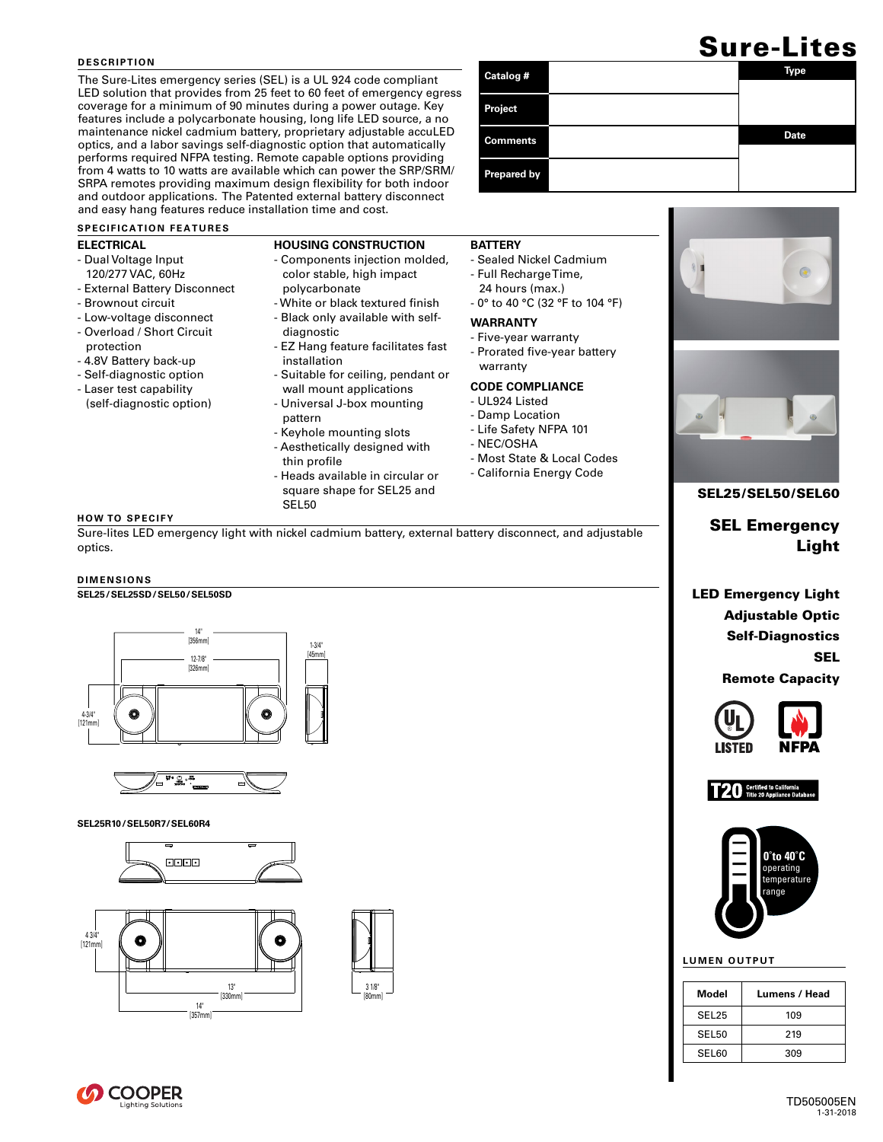### **DESCRIPTION**

The Sure-Lites emergency series (SEL) is a UL 924 code compliant LED solution that provides from 25 feet to 60 feet of emergency egress coverage for a minimum of 90 minutes during a power outage. Key features include a polycarbonate housing, long life LED source, a no maintenance nickel cadmium battery, proprietary adjustable accuLED optics, and a labor savings self-diagnostic option that automatically performs required NFPA testing. Remote capable options providing from 4 watts to 10 watts are available which can power the SRP/SRM/ SRPA remotes providing maximum design flexibility for both indoor and outdoor applications. The Patented external battery disconnect and easy hang features reduce installation time and cost.

### **SPECIFICATION FEATURES**

### **ELECTRICAL**

- Dual Voltage Input 120/277 VAC, 60Hz
- External Battery Disconnect
- Brownout circuit
- Low-voltage disconnect - Overload / Short Circuit
- protection
- 4.8V Battery back-up
- Self-diagnostic option
- Laser test capability (self-diagnostic option)
- **HOUSING CONSTRUCTION**
- Components injection molded, color stable, high impact
	- polycarbonate
	- White or black textured finish
	- Black only available with self-
	- diagnostic
	- EZ Hang feature facilitates fast installation
	- Suitable for ceiling, pendant or wall mount applications
	- Universal J-box mounting
	- pattern - Keyhole mounting slots
	- Aesthetically designed with
	- thin profile
	- Heads available in circular or square shape for SEL25 and SEL50

## **BATTERY**

- Sealed Nickel Cadmium
- Full Recharge Time,
- 24 hours (max.) - 0° to 40 °C (32 °F to 104 °F)

## **WARRANTY**

- Five-year warranty
- Prorated five-year battery warranty

## **CODE COMPLIANCE**

- UL924 Listed
- Damp Location
- Life Safety NFPA 101
- NEC/OSHA
- Most State & Local Codes
- California Energy Code

Sure-lites LED emergency light with nickel cadmium battery, external battery disconnect, and adjustable optics.

### **DIMENSIONS**

**HOW TO SPECIFY**

## **SEL25/SEL25SD/SEL50/SEL50SD**





#### **SEL25R10/SEL50R7/SEL60R4**







# Sure-Lites

| Catalog #          | Type        |
|--------------------|-------------|
| Project            |             |
| <b>Comments</b>    | <b>Date</b> |
| <b>Prepared by</b> |             |



## SEL25/SEL50/SEL60

SEL Emergency Light

LED Emergency Light Adjustable Optic Self-Diagnostics SEL

Remote Capacity







### **LUMEN OUTPUT**

| Model             | Lumens / Head |
|-------------------|---------------|
| SEL <sub>25</sub> | 109           |
| SEL <sub>50</sub> | 219           |
| SEL <sub>60</sub> | 309           |

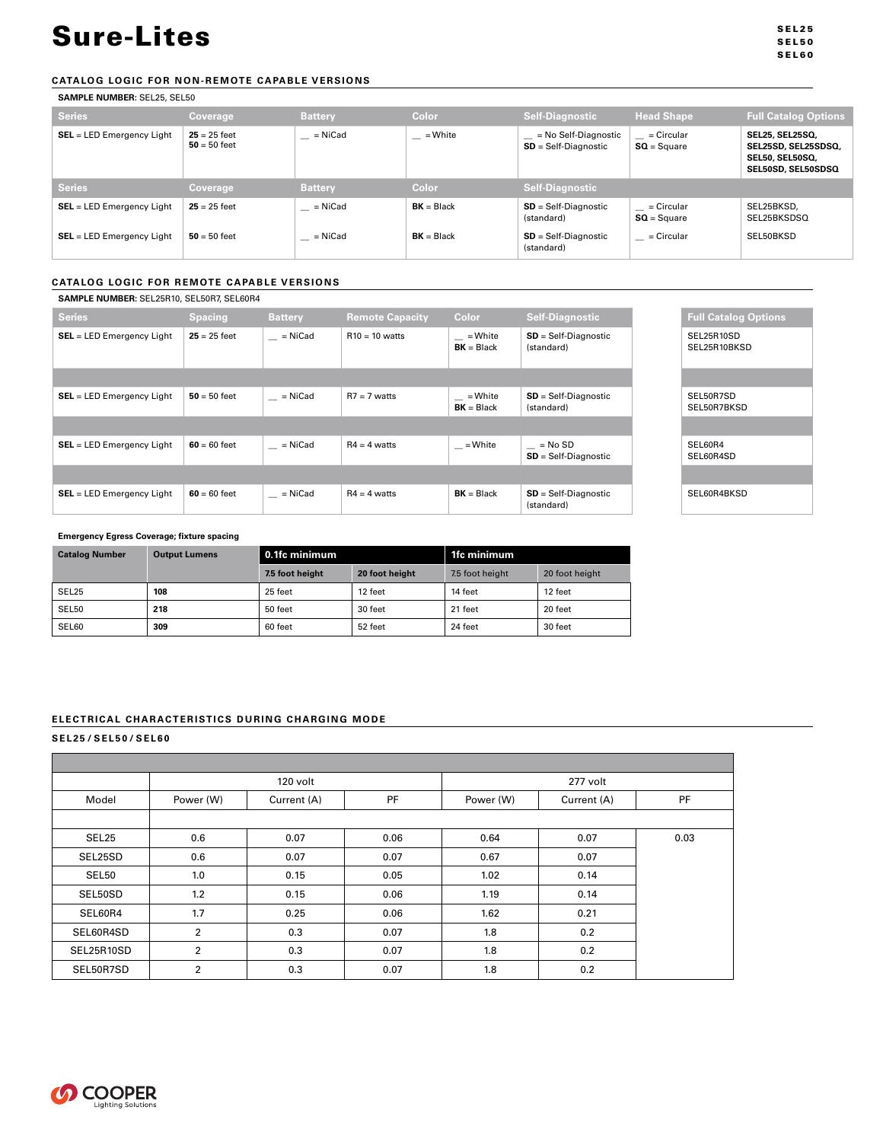SEL25 SEL50 SEL60

## **CATALOG LOGIC FOR NON-REMOTE CAPABLE VERSIONS**

**SAMPLE NUMBER:** SEL25, SEL50

| <b>Series</b>               | <b>Coverage</b>                  | <b>Battery</b> | Color        | Self-Diagnostic                                | <b>Head Shape</b>             | <b>Full Catalog Options</b>                                                            |
|-----------------------------|----------------------------------|----------------|--------------|------------------------------------------------|-------------------------------|----------------------------------------------------------------------------------------|
| $SEL = LED$ Emergency Light | $25 = 25$ feet<br>$50 = 50$ feet | $=$ NiCad      | = White      | = No Self-Diagnostic<br>$SD = Self-Diagnostic$ | $=$ Circular<br>$SO = Square$ | SEL25, SEL25SQ,<br>SEL25SD, SEL25SDSQ,<br><b>SEL50. SEL50SQ.</b><br>SEL50SD, SEL50SDSQ |
| <b>Series</b>               | Coverage                         | <b>Battery</b> | Color        | <b>Self-Diagnostic</b>                         |                               |                                                                                        |
| $SEL = LED$ Emergency Light | $25 = 25$ feet                   | = NiCad        | $BK = Black$ | $SD = Self-Di$ agnostic<br>(standard)          | $=$ Circular<br>$SO = Square$ | SEL25BKSD.<br>SEL25BKSDSQ                                                              |
| $SEL = LED$ Emergency Light | $50 = 50$ feet                   | = NiCad        | $BK = Black$ | $SD = Self-Di$ agnostic<br>(standard)          | = Circular                    | SEL50BKSD                                                                              |

## **CATALOG LOGIC FOR REMOTE CAPABLE VERSIONS**

| SAMPLE NUMBER: SEL25R10, SEL50R7, SEL60R4 |  |
|-------------------------------------------|--|
|                                           |  |

| <del>0AM LE NOMBEN.</del> 0EE201110, 0EE00117, 0EE0011 <del>7</del> |                |                |                        |                         |                                      |
|---------------------------------------------------------------------|----------------|----------------|------------------------|-------------------------|--------------------------------------|
| <b>Series</b>                                                       | <b>Spacing</b> | <b>Battery</b> | <b>Remote Capacity</b> | Color                   | <b>Self-Diagnostic</b>               |
| $SEL = LED$ Emergency Light                                         | $25 = 25$ feet | = NiCad        | $R10 = 10$ watts       | = White<br>$BK = Black$ | $SD = Self-Diagnostic$<br>(standard) |
|                                                                     |                |                |                        |                         |                                      |
| <b>SEL</b> = LED Emergency Light                                    | $50 = 50$ feet | = NiCad        | $R7 = 7$ watts         | = White<br>$BK = Black$ | $SD = Self-Diagnostic$<br>(standard) |
|                                                                     |                |                |                        |                         |                                      |
| $SEL = LED$ Emergency Light                                         | $60 = 60$ feet | $=$ NiCad      | $R4 = 4$ watts         | = White                 | $=$ No SD<br>$SD = Self-Diagnostic$  |
|                                                                     |                |                |                        |                         |                                      |
| $SEL = LED$ Emergency Light                                         | $60 = 60$ feet | = NiCad        | $R4 = 4$ watts         | $BK = Black$            | $SD = Self-Diagnostic$<br>(standard) |

## **Emergency Egress Coverage; fixture spacing**

| <b>Catalog Number</b> | <b>Output Lumens</b> | l 0.1fc minimum |                | 1fc minimum     |                |
|-----------------------|----------------------|-----------------|----------------|-----------------|----------------|
|                       |                      | 7.5 foot height | 20 foot height | 7.5 foot height | 20 foot height |
| SEL25                 | 108                  | 25 feet         | 12 feet        | 14 feet         | 12 feet        |
| SEL50                 | 218                  | 50 feet         | 30 feet        | 21 feet         | 20 feet        |
| SEL60                 | 309                  | 60 feet         | 52 feet        | 24 feet         | 30 feet        |

## **ELECTRICAL CHARACTERISTICS DURING CHARGING MODE**

## **SEL25/SEL50/SEL60**

|            |                | 120 volt    |      |           | 277 volt    |           |
|------------|----------------|-------------|------|-----------|-------------|-----------|
| Model      | Power (W)      | Current (A) | PF   | Power (W) | Current (A) | <b>PF</b> |
|            |                |             |      |           |             |           |
| SEL25      | 0.6            | 0.07        | 0.06 | 0.64      | 0.07        | 0.03      |
| SEL25SD    | 0.6            | 0.07        | 0.07 | 0.67      | 0.07        |           |
| SEL50      | 1.0            | 0.15        | 0.05 | 1.02      | 0.14        |           |
| SEL50SD    | 1.2            | 0.15        | 0.06 | 1.19      | 0.14        |           |
| SEL60R4    | 1.7            | 0.25        | 0.06 | 1.62      | 0.21        |           |
| SEL60R4SD  | $\overline{2}$ | 0.3         | 0.07 | 1.8       | 0.2         |           |
| SEL25R10SD | $\overline{2}$ | 0.3         | 0.07 | 1.8       | 0.2         |           |
| SEL50R7SD  | $\overline{2}$ | 0.3         | 0.07 | 1.8       | 0.2         |           |

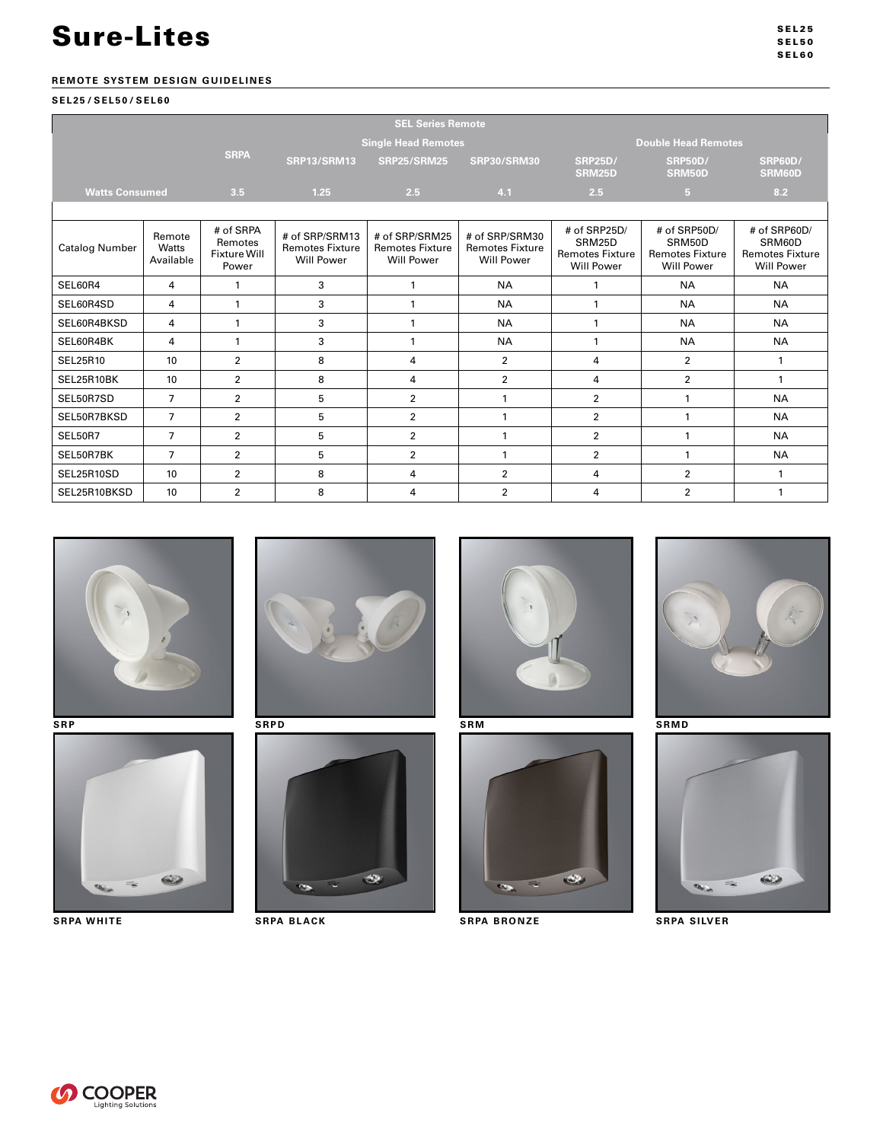## **REMOTE SYSTEM DESIGN GUIDELINES**

## **SEL25/SEL50/SEL60**

| <b>SEL Series Remote</b> |                              |                                                      |                                                               |                                                               |                                                               |                                                                       |                                                                       |                                                                       |
|--------------------------|------------------------------|------------------------------------------------------|---------------------------------------------------------------|---------------------------------------------------------------|---------------------------------------------------------------|-----------------------------------------------------------------------|-----------------------------------------------------------------------|-----------------------------------------------------------------------|
|                          |                              |                                                      | <b>Single Head Remotes</b>                                    |                                                               |                                                               | <b>Double Head Remotes</b>                                            |                                                                       |                                                                       |
|                          |                              | <b>SRPA</b>                                          | <b>SRP13/SRM13</b>                                            | <b>SRP25/SRM25</b>                                            | <b>SRP30/SRM30</b>                                            | <b>SRP25D/</b><br><b>SRM25D</b>                                       | <b>SRP50D/</b><br>SRM50D                                              | <b>SRP60D/</b><br>SRM60D                                              |
| <b>Watts Consumed</b>    |                              | 3.5                                                  | 1.25                                                          | 2.5                                                           | 4.1                                                           | 2.5                                                                   | 5 <sub>1</sub>                                                        | 8.2                                                                   |
|                          |                              |                                                      |                                                               |                                                               |                                                               |                                                                       |                                                                       |                                                                       |
| <b>Catalog Number</b>    | Remote<br>Watts<br>Available | # of SRPA<br>Remotes<br><b>Fixture Will</b><br>Power | # of SRP/SRM13<br><b>Remotes Fixture</b><br><b>Will Power</b> | # of SRP/SRM25<br><b>Remotes Fixture</b><br><b>Will Power</b> | # of SRP/SRM30<br><b>Remotes Fixture</b><br><b>Will Power</b> | # of SRP25D/<br>SRM25D<br><b>Remotes Fixture</b><br><b>Will Power</b> | # of SRP50D/<br>SRM50D<br><b>Remotes Fixture</b><br><b>Will Power</b> | # of SRP60D/<br>SRM60D<br><b>Remotes Fixture</b><br><b>Will Power</b> |
| SEL60R4                  | 4                            | 1                                                    | 3                                                             | 1                                                             | <b>NA</b>                                                     | 1                                                                     | <b>NA</b>                                                             | <b>NA</b>                                                             |
| SEL60R4SD                | 4                            | $\mathbf{1}$                                         | 3                                                             | 1                                                             | <b>NA</b>                                                     | 1                                                                     | <b>NA</b>                                                             | <b>NA</b>                                                             |
| SEL60R4BKSD              | 4                            | $\mathbf{1}$                                         | 3                                                             | 1                                                             | <b>NA</b>                                                     | $\mathbf{1}$                                                          | <b>NA</b>                                                             | <b>NA</b>                                                             |
| SEL60R4BK                | 4                            | $\mathbf{1}$                                         | 3                                                             | 1                                                             | <b>NA</b>                                                     | $\mathbf{1}$                                                          | <b>NA</b>                                                             | <b>NA</b>                                                             |
| SEL25R10                 | 10                           | $\overline{2}$                                       | 8                                                             | 4                                                             | $\overline{2}$                                                | 4                                                                     | $\overline{2}$                                                        | 1                                                                     |
| SEL25R10BK               | 10                           | $\overline{2}$                                       | 8                                                             | 4                                                             | $\overline{2}$                                                | 4                                                                     | $\overline{2}$                                                        | $\mathbf{1}$                                                          |
| SEL50R7SD                | $\overline{7}$               | $\overline{2}$                                       | 5                                                             | $\overline{2}$                                                | $\mathbf{1}$                                                  | $\overline{2}$                                                        | 1                                                                     | <b>NA</b>                                                             |
| SEL50R7BKSD              | $\overline{7}$               | $\overline{2}$                                       | 5                                                             | $\overline{2}$                                                | 1                                                             | $\overline{2}$                                                        | 1                                                                     | <b>NA</b>                                                             |
| SEL50R7                  | $\overline{7}$               | $\overline{2}$                                       | 5                                                             | $\overline{2}$                                                | $\mathbf{1}$                                                  | $\overline{2}$                                                        | $\mathbf{1}$                                                          | <b>NA</b>                                                             |
| SEL50R7BK                | $\overline{7}$               | $\overline{2}$                                       | 5                                                             | $\overline{2}$                                                | $\mathbf{1}$                                                  | $\overline{2}$                                                        | $\mathbf{1}$                                                          | <b>NA</b>                                                             |
| SEL25R10SD               | 10                           | $\overline{2}$                                       | 8                                                             | 4                                                             | $\overline{2}$                                                | 4                                                                     | $\overline{2}$                                                        | $\mathbf{1}$                                                          |
| SEL25R10BKSD             | 10                           | $\overline{2}$                                       | 8                                                             | 4                                                             | $\overline{2}$                                                | $\overline{4}$                                                        | $\overline{2}$                                                        |                                                                       |















**SRPA WHITE SRPA BLACK SRPA BRONZE SRPA SILVER**







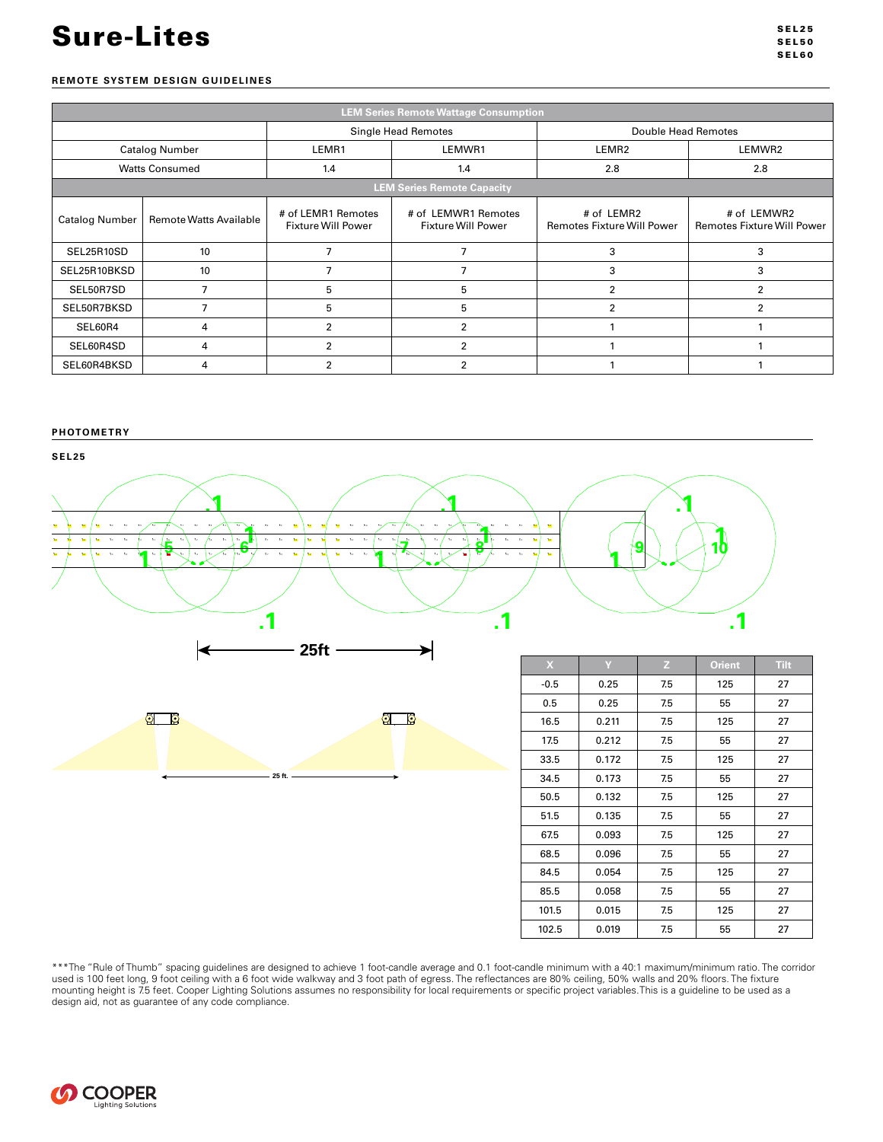## **REMOTE SYSTEM DESIGN GUIDELINES**

| <b>LEM Series Remote Wattage Consumption</b> |                               |                                                 |                                                  |                                                 |                                                  |  |  |
|----------------------------------------------|-------------------------------|-------------------------------------------------|--------------------------------------------------|-------------------------------------------------|--------------------------------------------------|--|--|
|                                              |                               | Double Head Remotes                             |                                                  |                                                 |                                                  |  |  |
|                                              | <b>Catalog Number</b>         | LEMR1<br>LEMWR1                                 |                                                  | LEMR <sub>2</sub>                               | LEMWR2                                           |  |  |
|                                              | <b>Watts Consumed</b>         | 1.4                                             | 1.4                                              | 2.8                                             | 2.8                                              |  |  |
|                                              |                               |                                                 | <b>LEM Series Remote Capacity</b>                |                                                 |                                                  |  |  |
| <b>Catalog Number</b>                        | <b>Remote Watts Available</b> | # of LEMR1 Remotes<br><b>Fixture Will Power</b> | # of LEMWR1 Remotes<br><b>Fixture Will Power</b> | # of LEMR2<br><b>Remotes Fixture Will Power</b> | # of LEMWR2<br><b>Remotes Fixture Will Power</b> |  |  |
| SEL25R10SD                                   | 10                            | $\overline{7}$                                  |                                                  | 3                                               | 3                                                |  |  |
| SEL25R10BKSD                                 | 10                            | 7                                               |                                                  | 3                                               | 3                                                |  |  |
| SEL50R7SD                                    | $\overline{7}$                | 5                                               | 5                                                | 2                                               | 2                                                |  |  |
| SEL50R7BKSD                                  | $\overline{7}$                | 5                                               | 5                                                | $\overline{2}$                                  | $\overline{2}$                                   |  |  |
| SEL60R4                                      | 4                             | $\overline{2}$                                  |                                                  |                                                 |                                                  |  |  |
| SEL60R4SD                                    | 4                             | $\overline{2}$                                  | 2                                                |                                                 |                                                  |  |  |
| SEL60R4BKSD                                  | 4                             | $\overline{2}$                                  | 2                                                |                                                 |                                                  |  |  |

## **PHOTOMETRY**







| X      |       | Z.  | <b>Orient</b> | <b>Tilt</b> |
|--------|-------|-----|---------------|-------------|
| $-0.5$ | 0.25  | 7.5 | 125           | 27          |
| 0.5    | 0.25  | 7.5 | 55            | 27          |
| 16.5   | 0.211 | 7.5 | 125           | 27          |
| 17.5   | 0.212 | 7.5 | 55            | 27          |
| 33.5   | 0.172 | 7.5 | 125           | 27          |
| 34.5   | 0.173 | 7.5 | 55            | 27          |
| 50.5   | 0.132 | 7.5 | 125           | 27          |
| 51.5   | 0.135 | 7.5 | 55            | 27          |
| 67.5   | 0.093 | 7.5 | 125           | 27          |
| 68.5   | 0.096 | 7.5 | 55            | 27          |
| 84.5   | 0.054 | 7.5 | 125           | 27          |
| 85.5   | 0.058 | 7.5 | 55            | 27          |
| 101.5  | 0.015 | 7.5 | 125           | 27          |
| 102.5  | 0.019 | 7.5 | 55            | 27          |

\*\*\*The "Rule of Thumb" spacing guidelines are designed to achieve 1 foot-candle average and 0.1 foot-candle minimum with a 40:1 maximum/minimum ratio. The corridor used is 100 feet long, 9 foot ceiling with a 6 foot wide walkway and 3 foot path of egress. The reflectances are 80% ceiling, 50% walls and 20% floors. The fixture mounting height is 7.5 feet. Cooper Lighting Solutions assumes no responsibility for local requirements or specific project variables. This is a guideline to be used as a design aid, not as guarantee of any code compliance.

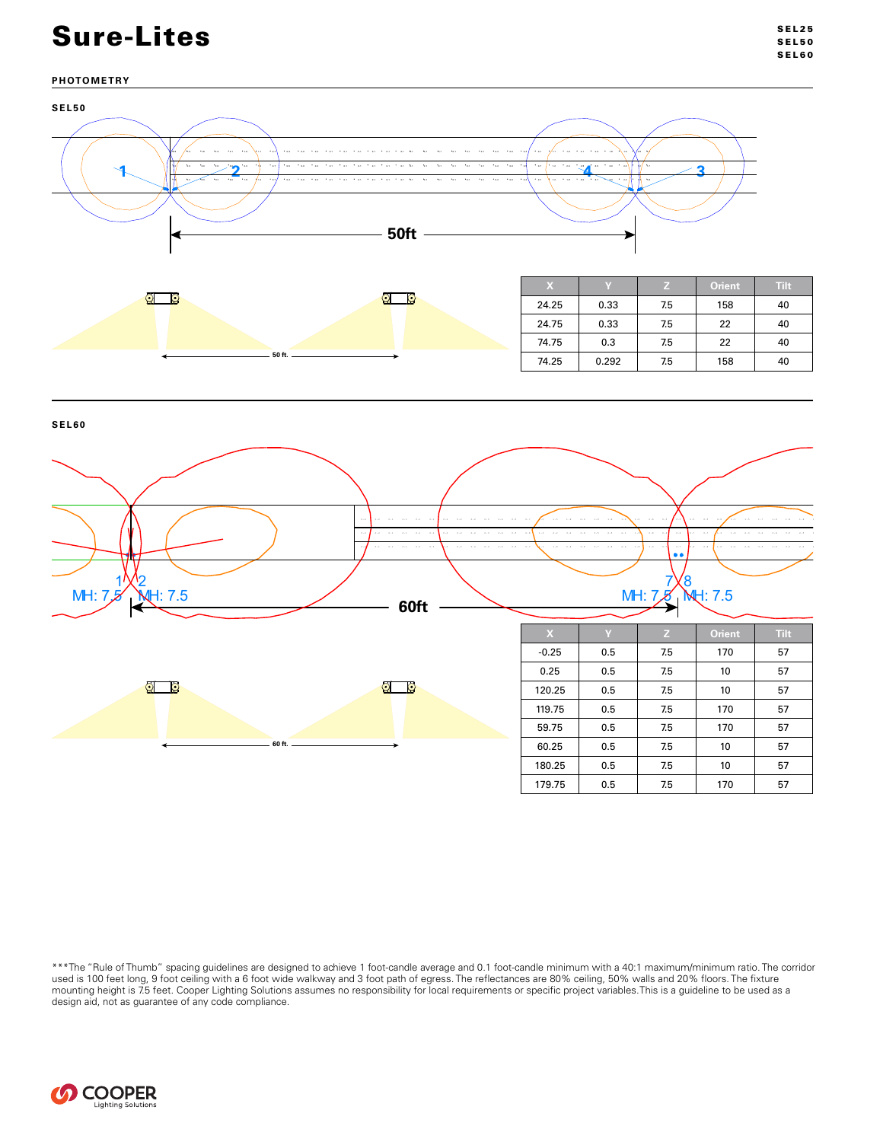## **PHOTOMETRY**



**SEL60**



\*\*\*The "Rule of Thumb" spacing guidelines are designed to achieve 1 foot-candle average and 0.1 foot-candle minimum with a 40:1 maximum/minimum ratio. The corridor used is 100 feet long, 9 foot ceiling with a 6 foot wide walkway and 3 foot path of egress. The reflectances are 80% ceiling, 50% walls and 20% floors. The fixture mounting height is 7.5 feet. Cooper Lighting Solutions assumes no responsibility for local requirements or specific project variables. This is a guideline to be used as a design aid, not as guarantee of any code compliance.

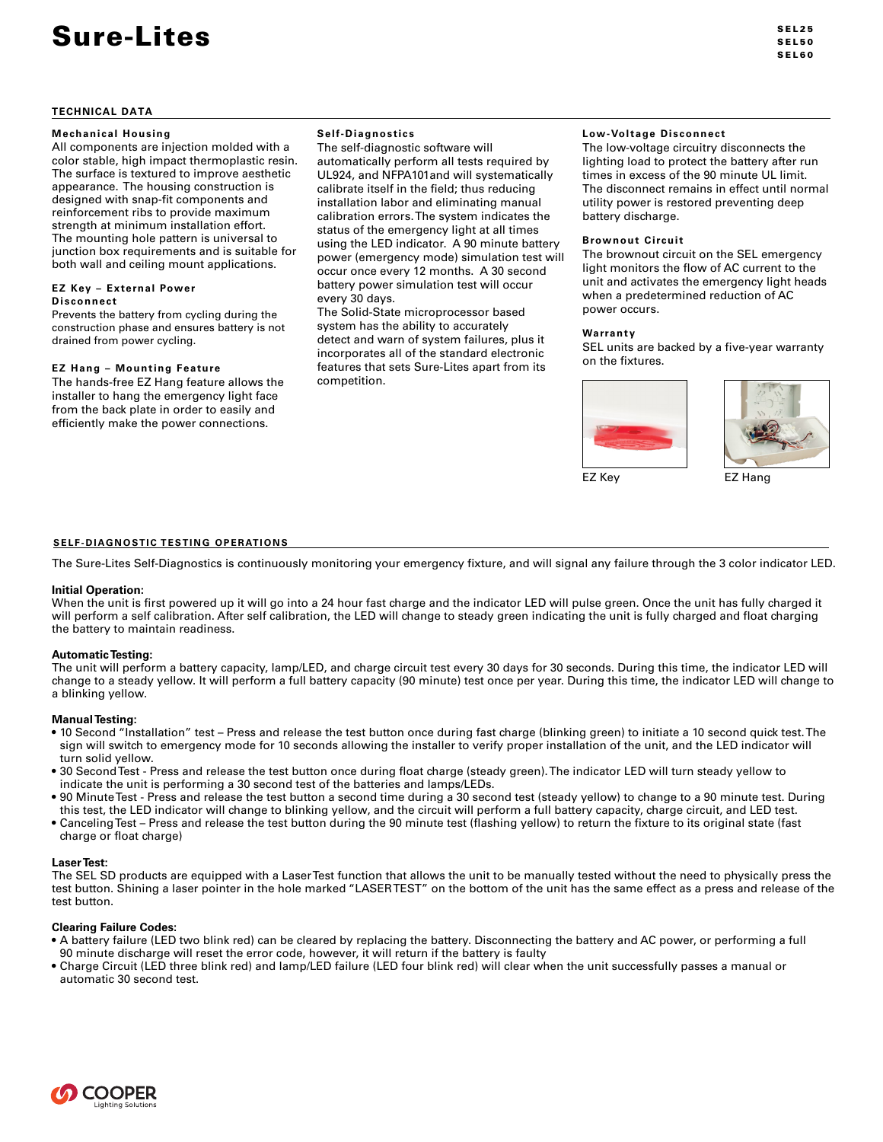## **Mechanical Housing**

All components are injection molded with a color stable, high impact thermoplastic resin. The surface is textured to improve aesthetic appearance. The housing construction is designed with snap-fit components and reinforcement ribs to provide maximum strength at minimum installation effort. The mounting hole pattern is universal to junction box requirements and is suitable for both wall and ceiling mount applications.

#### **EZ Key – External Power Disconnect**

Prevents the battery from cycling during the construction phase and ensures battery is not drained from power cycling.

### **EZ Hang – Mounting Feature**

The hands-free EZ Hang feature allows the installer to hang the emergency light face from the back plate in order to easily and efficiently make the power connections.

## **Self-Diagnostics**

The self-diagnostic software will automatically perform all tests required by UL924, and NFPA101and will systematically calibrate itself in the field; thus reducing installation labor and eliminating manual calibration errors. The system indicates the status of the emergency light at all times using the LED indicator. A 90 minute battery power (emergency mode) simulation test will occur once every 12 months. A 30 second battery power simulation test will occur every 30 days.

The Solid-State microprocessor based system has the ability to accurately detect and warn of system failures, plus it incorporates all of the standard electronic features that sets Sure-Lites apart from its competition.

### **Low-Voltage Disconnect**

The low-voltage circuitry disconnects the lighting load to protect the battery after run times in excess of the 90 minute UL limit. The disconnect remains in effect until normal utility power is restored preventing deep battery discharge.

### **Brownout Circuit**

The brownout circuit on the SEL emergency light monitors the flow of AC current to the unit and activates the emergency light heads when a predetermined reduction of AC power occurs.

#### **Warranty**

SEL units are backed by a five-year warranty on the fixtures.



EZ Key **EZ Hang** 



### **SELF-DIAGNOSTIC TESTING OPERATIONS**

The Sure-Lites Self-Diagnostics is continuously monitoring your emergency fixture, and will signal any failure through the 3 color indicator LED.

### **Initial Operation:**

When the unit is first powered up it will go into a 24 hour fast charge and the indicator LED will pulse green. Once the unit has fully charged it will perform a self calibration. After self calibration, the LED will change to steady green indicating the unit is fully charged and float charging the battery to maintain readiness.

### **Automatic Testing:**

The unit will perform a battery capacity, lamp/LED, and charge circuit test every 30 days for 30 seconds. During this time, the indicator LED will change to a steady yellow. It will perform a full battery capacity (90 minute) test once per year. During this time, the indicator LED will change to a blinking yellow.

### **Manual Testing:**

- 10 Second "Installation" test Press and release the test button once during fast charge (blinking green) to initiate a 10 second quick test. The sign will switch to emergency mode for 10 seconds allowing the installer to verify proper installation of the unit, and the LED indicator will turn solid yellow.
- 30 Second Test Press and release the test button once during float charge (steady green). The indicator LED will turn steady yellow to indicate the unit is performing a 30 second test of the batteries and lamps/LEDs.
- 90 Minute Test Press and release the test button a second time during a 30 second test (steady yellow) to change to a 90 minute test. During this test, the LED indicator will change to blinking yellow, and the circuit will perform a full battery capacity, charge circuit, and LED test.
- Canceling Test Press and release the test button during the 90 minute test (flashing yellow) to return the fixture to its original state (fast charge or float charge)

### **Laser Test:**

The SEL SD products are equipped with a Laser Test function that allows the unit to be manually tested without the need to physically press the test button. Shining a laser pointer in the hole marked "LASER TEST" on the bottom of the unit has the same effect as a press and release of the test button.

### **Clearing Failure Codes:**

- A battery failure (LED two blink red) can be cleared by replacing the battery. Disconnecting the battery and AC power, or performing a full 90 minute discharge will reset the error code, however, it will return if the battery is faulty
- Charge Circuit (LED three blink red) and lamp/LED failure (LED four blink red) will clear when the unit successfully passes a manual or automatic 30 second test.